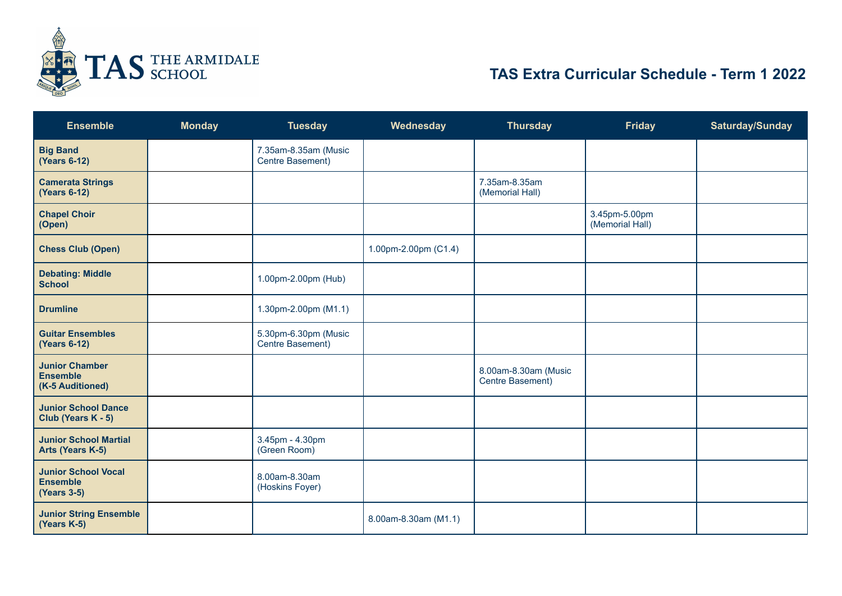

## **TAS Extra Curricular Schedule - Term 1 2022**

| <b>Ensemble</b>                                                     | <b>Monday</b> | <b>Tuesday</b>                           | Wednesday            | <b>Thursday</b>                          | <b>Friday</b>                    | Saturday/Sunday |
|---------------------------------------------------------------------|---------------|------------------------------------------|----------------------|------------------------------------------|----------------------------------|-----------------|
| <b>Big Band</b><br>(Years 6-12)                                     |               | 7.35am-8.35am (Music<br>Centre Basement) |                      |                                          |                                  |                 |
| <b>Camerata Strings</b><br><b>(Years 6-12)</b>                      |               |                                          |                      | 7.35am-8.35am<br>(Memorial Hall)         |                                  |                 |
| <b>Chapel Choir</b><br>(Open)                                       |               |                                          |                      |                                          | 3.45pm-5.00pm<br>(Memorial Hall) |                 |
| <b>Chess Club (Open)</b>                                            |               |                                          | 1.00pm-2.00pm (C1.4) |                                          |                                  |                 |
| <b>Debating: Middle</b><br><b>School</b>                            |               | 1.00pm-2.00pm (Hub)                      |                      |                                          |                                  |                 |
| <b>Drumline</b>                                                     |               | 1.30pm-2.00pm (M1.1)                     |                      |                                          |                                  |                 |
| <b>Guitar Ensembles</b><br><b>(Years 6-12)</b>                      |               | 5.30pm-6.30pm (Music<br>Centre Basement) |                      |                                          |                                  |                 |
| <b>Junior Chamber</b><br><b>Ensemble</b><br>(K-5 Auditioned)        |               |                                          |                      | 8.00am-8.30am (Music<br>Centre Basement) |                                  |                 |
| <b>Junior School Dance</b><br>Club (Years K - 5)                    |               |                                          |                      |                                          |                                  |                 |
| <b>Junior School Martial</b><br>Arts (Years K-5)                    |               | 3.45pm - 4.30pm<br>(Green Room)          |                      |                                          |                                  |                 |
| <b>Junior School Vocal</b><br><b>Ensemble</b><br><b>(Years 3-5)</b> |               | 8.00am-8.30am<br>(Hoskins Foyer)         |                      |                                          |                                  |                 |
| <b>Junior String Ensemble</b><br>(Years K-5)                        |               |                                          | 8.00am-8.30am (M1.1) |                                          |                                  |                 |